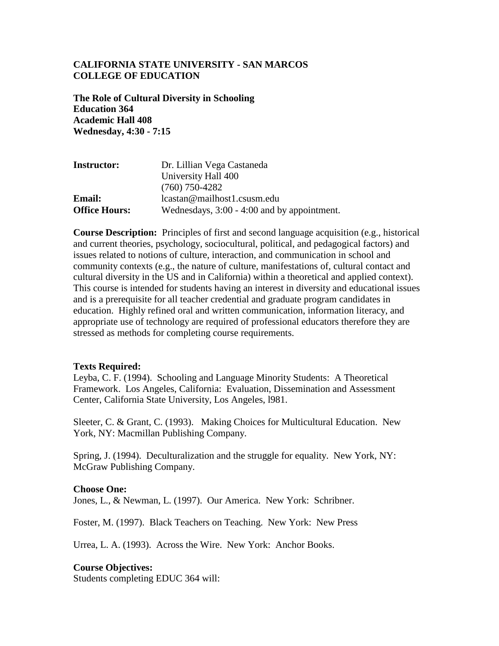### **CALIFORNIA STATE UNIVERSITY - SAN MARCOS COLLEGE OF EDUCATION**

**The Role of Cultural Diversity in Schooling Education 364 Academic Hall 408 Wednesday, 4:30 - 7:15**

| <b>Instructor:</b>   | Dr. Lillian Vega Castaneda                  |
|----------------------|---------------------------------------------|
|                      | University Hall 400                         |
|                      | $(760)$ 750-4282                            |
| <b>Email:</b>        | lcastan@mailhost1.csusm.edu                 |
| <b>Office Hours:</b> | Wednesdays, 3:00 - 4:00 and by appointment. |

**Course Description:** Principles of first and second language acquisition (e.g., historical and current theories, psychology, sociocultural, political, and pedagogical factors) and issues related to notions of culture, interaction, and communication in school and community contexts (e.g., the nature of culture, manifestations of, cultural contact and cultural diversity in the US and in California) within a theoretical and applied context). This course is intended for students having an interest in diversity and educational issues and is a prerequisite for all teacher credential and graduate program candidates in education. Highly refined oral and written communication, information literacy, and appropriate use of technology are required of professional educators therefore they are stressed as methods for completing course requirements.

#### **Texts Required:**

Leyba, C. F. (1994). Schooling and Language Minority Students: A Theoretical Framework. Los Angeles, California: Evaluation, Dissemination and Assessment Center, California State University, Los Angeles, l981.

Sleeter, C. & Grant, C. (1993). Making Choices for Multicultural Education. New York, NY: Macmillan Publishing Company.

Spring, J. (1994). Deculturalization and the struggle for equality. New York, NY: McGraw Publishing Company.

#### **Choose One:**

Jones, L., & Newman, L. (1997). Our America. New York: Schribner.

Foster, M. (1997). Black Teachers on Teaching. New York: New Press

Urrea, L. A. (1993). Across the Wire. New York: Anchor Books.

#### **Course Objectives:**

Students completing EDUC 364 will: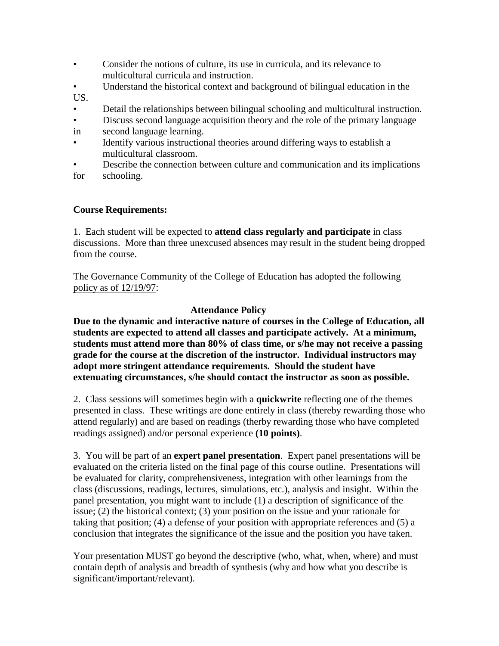- Consider the notions of culture, its use in curricula, and its relevance to multicultural curricula and instruction.
- Understand the historical context and background of bilingual education in the US.
- Detail the relationships between bilingual schooling and multicultural instruction.
- Discuss second language acquisition theory and the role of the primary language
- in second language learning.
- Identify various instructional theories around differing ways to establish a multicultural classroom.
- Describe the connection between culture and communication and its implications for schooling.

# **Course Requirements:**

1. Each student will be expected to **attend class regularly and participate** in class discussions. More than three unexcused absences may result in the student being dropped from the course.

The Governance Community of the College of Education has adopted the following policy as of 12/19/97:

# **Attendance Policy**

**Due to the dynamic and interactive nature of courses in the College of Education, all students are expected to attend all classes and participate actively. At a minimum, students must attend more than 80% of class time, or s/he may not receive a passing grade for the course at the discretion of the instructor. Individual instructors may adopt more stringent attendance requirements. Should the student have extenuating circumstances, s/he should contact the instructor as soon as possible.**

2. Class sessions will sometimes begin with a **quickwrite** reflecting one of the themes presented in class. These writings are done entirely in class (thereby rewarding those who attend regularly) and are based on readings (therby rewarding those who have completed readings assigned) and/or personal experience **(10 points)**.

3. You will be part of an **expert panel presentation**. Expert panel presentations will be evaluated on the criteria listed on the final page of this course outline. Presentations will be evaluated for clarity, comprehensiveness, integration with other learnings from the class (discussions, readings, lectures, simulations, etc.), analysis and insight. Within the panel presentation, you might want to include (1) a description of significance of the issue; (2) the historical context; (3) your position on the issue and your rationale for taking that position; (4) a defense of your position with appropriate references and (5) a conclusion that integrates the significance of the issue and the position you have taken.

Your presentation MUST go beyond the descriptive (who, what, when, where) and must contain depth of analysis and breadth of synthesis (why and how what you describe is significant/important/relevant).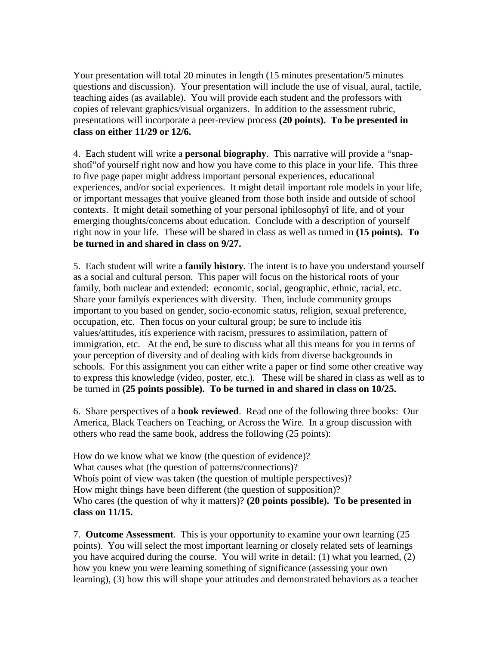Your presentation will total 20 minutes in length (15 minutes presentation/5 minutes questions and discussion). Your presentation will include the use of visual, aural, tactile, teaching aides (as available). You will provide each student and the professors with copies of relevant graphics/visual organizers. In addition to the assessment rubric, presentations will incorporate a peer-review process **(20 points). To be presented in class on either 11/29 or 12/6.**

4. Each student will write a **personal biography**. This narrative will provide a "snapshotî"of yourself right now and how you have come to this place in your life. This three to five page paper might address important personal experiences, educational experiences, and/or social experiences. It might detail important role models in your life, or important messages that youíve gleaned from those both inside and outside of school contexts. It might detail something of your personal ìphilosophyî of life, and of your emerging thoughts/concerns about education. Conclude with a description of yourself right now in your life. These will be shared in class as well as turned in **(15 points). To be turned in and shared in class on 9/27.**

5. Each student will write a **family history**. The intent is to have you understand yourself as a social and cultural person. This paper will focus on the historical roots of your family, both nuclear and extended: economic, social, geographic, ethnic, racial, etc. Share your familyís experiences with diversity. Then, include community groups important to you based on gender, socio-economic status, religion, sexual preference, occupation, etc. Then focus on your cultural group; be sure to include itís values/attitudes, itís experience with racism, pressures to assimilation, pattern of immigration, etc. At the end, be sure to discuss what all this means for you in terms of your perception of diversity and of dealing with kids from diverse backgrounds in schools. For this assignment you can either write a paper or find some other creative way to express this knowledge (video, poster, etc.). These will be shared in class as well as to be turned in **(25 points possible). To be turned in and shared in class on 10/25.**

6. Share perspectives of a **book reviewed**. Read one of the following three books: Our America, Black Teachers on Teaching, or Across the Wire. In a group discussion with others who read the same book, address the following (25 points):

How do we know what we know (the question of evidence)? What causes what (the question of patterns/connections)? Whoís point of view was taken (the question of multiple perspectives)? How might things have been different (the question of supposition)? Who cares (the question of why it matters)? **(20 points possible). To be presented in class on 11/15.**

7. **Outcome Assessment**. This is your opportunity to examine your own learning (25 points). You will select the most important learning or closely related sets of learnings you have acquired during the course. You will write in detail: (1) what you learned, (2) how you knew you were learning something of significance (assessing your own learning), (3) how this will shape your attitudes and demonstrated behaviors as a teacher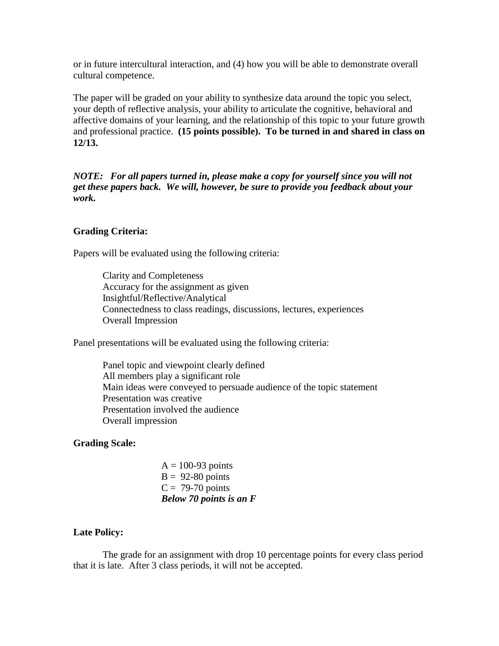or in future intercultural interaction, and (4) how you will be able to demonstrate overall cultural competence.

The paper will be graded on your ability to synthesize data around the topic you select, your depth of reflective analysis, your ability to articulate the cognitive, behavioral and affective domains of your learning, and the relationship of this topic to your future growth and professional practice. **(15 points possible). To be turned in and shared in class on 12/13.**

*NOTE: For all papers turned in, please make a copy for yourself since you will not get these papers back. We will, however, be sure to provide you feedback about your work.* 

### **Grading Criteria:**

Papers will be evaluated using the following criteria:

Clarity and Completeness Accuracy for the assignment as given Insightful/Reflective/Analytical Connectedness to class readings, discussions, lectures, experiences Overall Impression

Panel presentations will be evaluated using the following criteria:

Panel topic and viewpoint clearly defined All members play a significant role Main ideas were conveyed to persuade audience of the topic statement Presentation was creative Presentation involved the audience Overall impression

## **Grading Scale:**

 $A = 100-93$  points  $B = 92-80$  points  $C = 79-70$  points *Below 70 points is an F*

### **Late Policy:**

The grade for an assignment with drop 10 percentage points for every class period that it is late. After 3 class periods, it will not be accepted.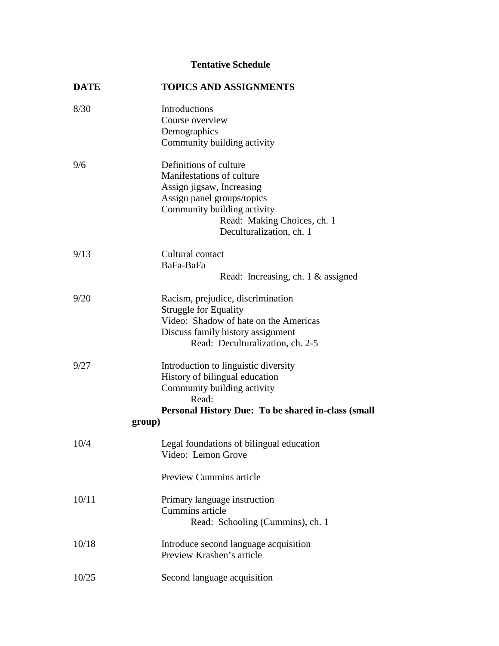# **Tentative Schedule**

| <b>TOPICS AND ASSIGNMENTS</b>                                |
|--------------------------------------------------------------|
| Introductions                                                |
| Course overview                                              |
| Demographics                                                 |
| Community building activity                                  |
| Definitions of culture                                       |
| Manifestations of culture                                    |
| Assign jigsaw, Increasing                                    |
| Assign panel groups/topics                                   |
| Community building activity                                  |
| Read: Making Choices, ch. 1                                  |
| Deculturalization, ch. 1                                     |
| Cultural contact                                             |
| BaFa-BaFa                                                    |
| Read: Increasing, ch. 1 & assigned                           |
| Racism, prejudice, discrimination                            |
| <b>Struggle for Equality</b>                                 |
| Video: Shadow of hate on the Americas                        |
| Discuss family history assignment                            |
| Read: Deculturalization, ch. 2-5                             |
| Introduction to linguistic diversity                         |
| History of bilingual education                               |
| Community building activity                                  |
| Read:                                                        |
| Personal History Due: To be shared in-class (small<br>group) |
|                                                              |
| Legal foundations of bilingual education                     |
| Video: Lemon Grove                                           |
| <b>Preview Cummins article</b>                               |
| Primary language instruction                                 |
| Cummins article                                              |
| Read: Schooling (Cummins), ch. 1                             |
| Introduce second language acquisition                        |
| Preview Krashen's article                                    |
| Second language acquisition                                  |
|                                                              |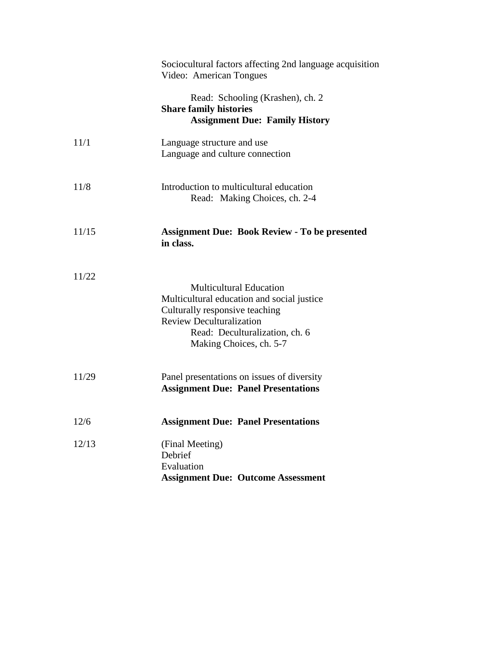|       | Sociocultural factors affecting 2nd language acquisition<br>Video: American Tongues                                                                                                                            |
|-------|----------------------------------------------------------------------------------------------------------------------------------------------------------------------------------------------------------------|
|       | Read: Schooling (Krashen), ch. 2<br><b>Share family histories</b><br><b>Assignment Due: Family History</b>                                                                                                     |
| 11/1  | Language structure and use<br>Language and culture connection                                                                                                                                                  |
| 11/8  | Introduction to multicultural education<br>Read: Making Choices, ch. 2-4                                                                                                                                       |
| 11/15 | <b>Assignment Due: Book Review - To be presented</b><br>in class.                                                                                                                                              |
| 11/22 | <b>Multicultural Education</b><br>Multicultural education and social justice<br>Culturally responsive teaching<br><b>Review Deculturalization</b><br>Read: Deculturalization, ch. 6<br>Making Choices, ch. 5-7 |
| 11/29 | Panel presentations on issues of diversity<br><b>Assignment Due: Panel Presentations</b>                                                                                                                       |
| 12/6  | <b>Assignment Due: Panel Presentations</b>                                                                                                                                                                     |
| 12/13 | (Final Meeting)<br>Debrief<br>Evaluation<br><b>Assignment Due: Outcome Assessment</b>                                                                                                                          |